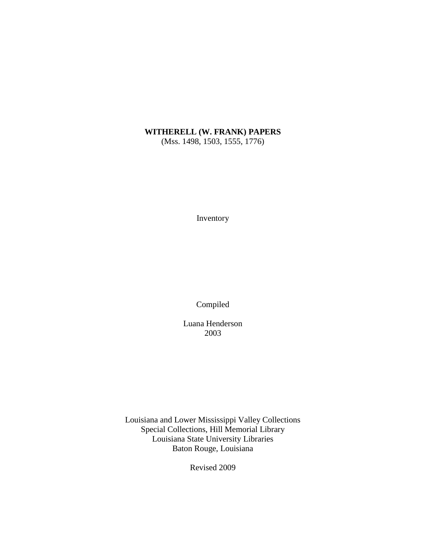# **WITHERELL (W. FRANK) PAPERS**

(Mss. 1498, 1503, 1555, 1776)

Inventory

Compiled

Luana Henderson 2003

Louisiana and Lower Mississippi Valley Collections Special Collections, Hill Memorial Library Louisiana State University Libraries Baton Rouge, Louisiana

Revised 2009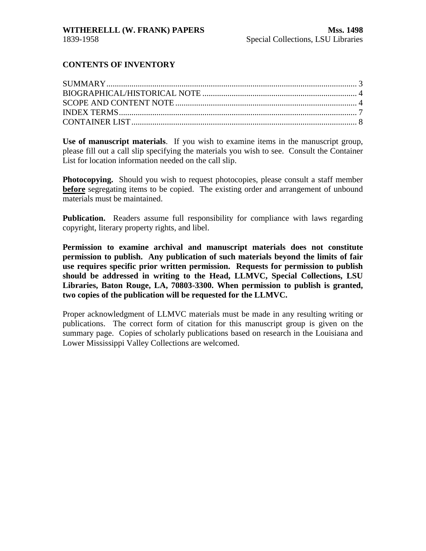### **CONTENTS OF INVENTORY**

**Use of manuscript materials**. If you wish to examine items in the manuscript group, please fill out a call slip specifying the materials you wish to see. Consult the Container List for location information needed on the call slip.

**Photocopying.** Should you wish to request photocopies, please consult a staff member **before** segregating items to be copied. The existing order and arrangement of unbound materials must be maintained.

**Publication.** Readers assume full responsibility for compliance with laws regarding copyright, literary property rights, and libel.

**Permission to examine archival and manuscript materials does not constitute permission to publish. Any publication of such materials beyond the limits of fair use requires specific prior written permission. Requests for permission to publish should be addressed in writing to the Head, LLMVC, Special Collections, LSU Libraries, Baton Rouge, LA, 70803-3300. When permission to publish is granted, two copies of the publication will be requested for the LLMVC.**

Proper acknowledgment of LLMVC materials must be made in any resulting writing or publications. The correct form of citation for this manuscript group is given on the summary page. Copies of scholarly publications based on research in the Louisiana and Lower Mississippi Valley Collections are welcomed.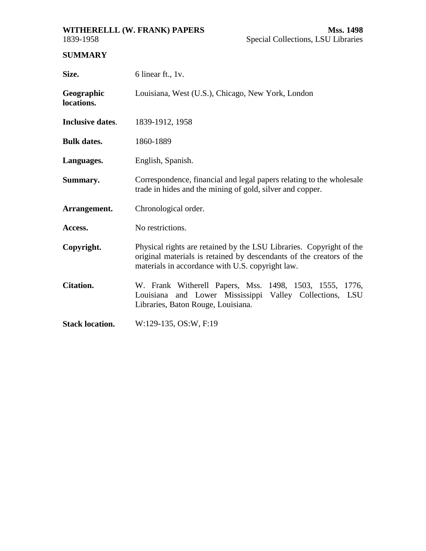# <span id="page-2-0"></span>**WITHERELLL (W. FRANK) PAPERS Mss. 1498**

## **SUMMARY**

| Size.                    | 6 linear ft., 1v.                                                                                                                                                                               |  |  |  |
|--------------------------|-------------------------------------------------------------------------------------------------------------------------------------------------------------------------------------------------|--|--|--|
| Geographic<br>locations. | Louisiana, West (U.S.), Chicago, New York, London                                                                                                                                               |  |  |  |
| <b>Inclusive dates.</b>  | 1839-1912, 1958                                                                                                                                                                                 |  |  |  |
| <b>Bulk dates.</b>       | 1860-1889                                                                                                                                                                                       |  |  |  |
| Languages.               | English, Spanish.                                                                                                                                                                               |  |  |  |
| Summary.                 | Correspondence, financial and legal papers relating to the wholesale<br>trade in hides and the mining of gold, silver and copper.                                                               |  |  |  |
| Arrangement.             | Chronological order.                                                                                                                                                                            |  |  |  |
| Access.                  | No restrictions.                                                                                                                                                                                |  |  |  |
| Copyright.               | Physical rights are retained by the LSU Libraries. Copyright of the<br>original materials is retained by descendants of the creators of the<br>materials in accordance with U.S. copyright law. |  |  |  |
| <b>Citation.</b>         | W. Frank Witherell Papers, Mss. 1498, 1503, 1555, 1776,<br>Louisiana and Lower Mississippi Valley Collections, LSU<br>Libraries, Baton Rouge, Louisiana.                                        |  |  |  |
| <b>Stack location.</b>   | W:129-135, OS:W, F:19                                                                                                                                                                           |  |  |  |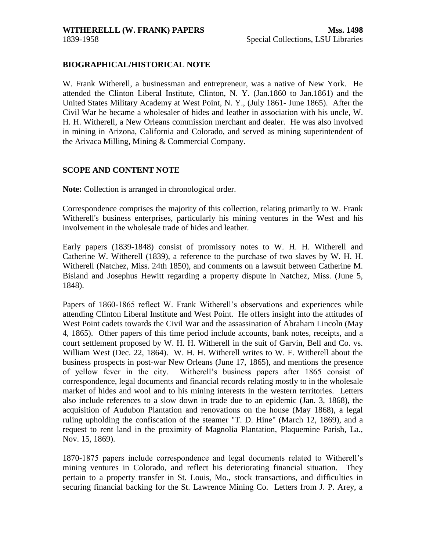#### <span id="page-3-0"></span>**BIOGRAPHICAL/HISTORICAL NOTE**

W. Frank Witherell, a businessman and entrepreneur, was a native of New York. He attended the Clinton Liberal Institute, Clinton, N. Y. (Jan.1860 to Jan.1861) and the United States Military Academy at West Point, N. Y., (July 1861- June 1865). After the Civil War he became a wholesaler of hides and leather in association with his uncle, W. H. H. Witherell, a New Orleans commission merchant and dealer. He was also involved in mining in Arizona, California and Colorado, and served as mining superintendent of the Arivaca Milling, Mining & Commercial Company.

#### **SCOPE AND CONTENT NOTE**

**Note:** Collection is arranged in chronological order.

Correspondence comprises the majority of this collection, relating primarily to W. Frank Witherell's business enterprises, particularly his mining ventures in the West and his involvement in the wholesale trade of hides and leather.

Early papers (1839-1848) consist of promissory notes to W. H. H. Witherell and Catherine W. Witherell (1839), a reference to the purchase of two slaves by W. H. H. Witherell (Natchez, Miss. 24th 1850), and comments on a lawsuit between Catherine M. Bisland and Josephus Hewitt regarding a property dispute in Natchez, Miss. (June 5, 1848).

Papers of 1860-1865 reflect W. Frank Witherell's observations and experiences while attending Clinton Liberal Institute and West Point. He offers insight into the attitudes of West Point cadets towards the Civil War and the assassination of Abraham Lincoln (May 4, 1865). Other papers of this time period include accounts, bank notes, receipts, and a court settlement proposed by W. H. H. Witherell in the suit of Garvin, Bell and Co. vs. William West (Dec. 22, 1864). W. H. H. Witherell writes to W. F. Witherell about the business prospects in post-war New Orleans (June 17, 1865), and mentions the presence of yellow fever in the city. Witherell's business papers after 1865 consist of correspondence, legal documents and financial records relating mostly to in the wholesale market of hides and wool and to his mining interests in the western territories. Letters also include references to a slow down in trade due to an epidemic (Jan. 3, 1868), the acquisition of Audubon Plantation and renovations on the house (May 1868), a legal ruling upholding the confiscation of the steamer "T. D. Hine" (March 12, 1869), and a request to rent land in the proximity of Magnolia Plantation, Plaquemine Parish, La., Nov. 15, 1869).

1870-1875 papers include correspondence and legal documents related to Witherell's mining ventures in Colorado, and reflect his deteriorating financial situation. They pertain to a property transfer in St. Louis, Mo., stock transactions, and difficulties in securing financial backing for the St. Lawrence Mining Co. Letters from J. P. Arey, a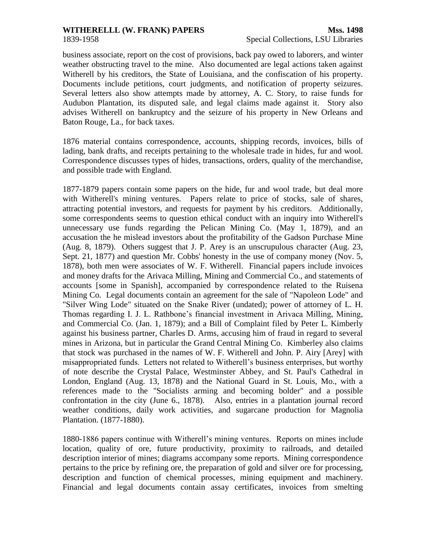## **WITHERELLL (W. FRANK) PAPERS Mss. 1498**

business associate, report on the cost of provisions, back pay owed to laborers, and winter weather obstructing travel to the mine. Also documented are legal actions taken against Witherell by his creditors, the State of Louisiana, and the confiscation of his property. Documents include petitions, court judgments, and notification of property seizures. Several letters also show attempts made by attorney, A. C. Story, to raise funds for Audubon Plantation, its disputed sale, and legal claims made against it. Story also advises Witherell on bankruptcy and the seizure of his property in New Orleans and Baton Rouge, La., for back taxes.

1876 material contains correspondence, accounts, shipping records, invoices, bills of lading, bank drafts, and receipts pertaining to the wholesale trade in hides, fur and wool. Correspondence discusses types of hides, transactions, orders, quality of the merchandise, and possible trade with England.

1877-1879 papers contain some papers on the hide, fur and wool trade, but deal more with Witherell's mining ventures. Papers relate to price of stocks, sale of shares, attracting potential investors, and requests for payment by his creditors. Additionally, some correspondents seems to question ethical conduct with an inquiry into Witherell's unnecessary use funds regarding the Pelican Mining Co. (May 1, 1879), and an accusation the he mislead investors about the profitability of the Gadson Purchase Mine (Aug. 8, 1879). Others suggest that J. P. Arey is an unscrupulous character (Aug. 23, Sept. 21, 1877) and question Mr. Cobbs' honesty in the use of company money (Nov. 5, 1878), both men were associates of W. F. Witherell. Financial papers include invoices and money drafts for the Arivaca Milling, Mining and Commercial Co., and statements of accounts [some in Spanish], accompanied by correspondence related to the Ruisena Mining Co. Legal documents contain an agreement for the sale of "Napoleon Lode" and "Silver Wing Lode" situated on the Snake River (undated); power of attorney of L. H. Thomas regarding I. J. L. Rathbone's financial investment in Arivaca Milling, Mining, and Commercial Co. (Jan. 1, 1879); and a Bill of Complaint filed by Peter L. Kimberly against his business partner, Charles D. Arms, accusing him of fraud in regard to several mines in Arizona, but in particular the Grand Central Mining Co. Kimberley also claims that stock was purchased in the names of W. F. Witherell and John. P. Airy [Arey] with misappropriated funds. Letters not related to Witherell's business enterprises, but worthy of note describe the Crystal Palace, Westminster Abbey, and St. Paul's Cathedral in London, England (Aug. 13, 1878) and the National Guard in St. Louis, Mo., with a references made to the "Socialists arming and becoming bolder" and a possible confrontation in the city (June 6., 1878). Also, entries in a plantation journal record weather conditions, daily work activities, and sugarcane production for Magnolia Plantation. (1877-1880).

1880-1886 papers continue with Witherell's mining ventures. Reports on mines include location, quality of ore, future productivity, proximity to railroads, and detailed description interior of mines; diagrams accompany some reports. Mining correspondence pertains to the price by refining ore, the preparation of gold and silver ore for processing, description and function of chemical processes, mining equipment and machinery. Financial and legal documents contain assay certificates, invoices from smelting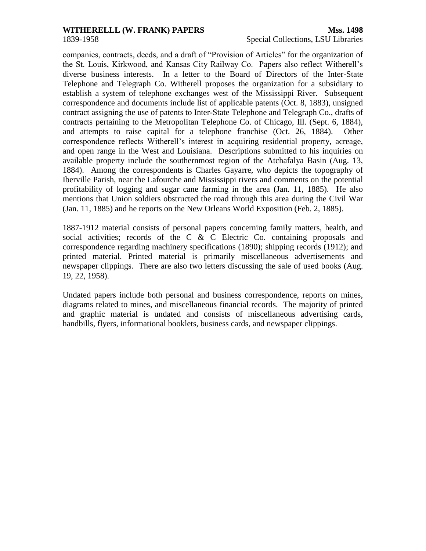### **WITHERELLL (W. FRANK) PAPERS** Mss. 1498

companies, contracts, deeds, and a draft of "Provision of Articles" for the organization of the St. Louis, Kirkwood, and Kansas City Railway Co. Papers also reflect Witherell's diverse business interests. In a letter to the Board of Directors of the Inter-State Telephone and Telegraph Co. Witherell proposes the organization for a subsidiary to establish a system of telephone exchanges west of the Mississippi River. Subsequent correspondence and documents include list of applicable patents (Oct. 8, 1883), unsigned contract assigning the use of patents to Inter-State Telephone and Telegraph Co., drafts of contracts pertaining to the Metropolitan Telephone Co. of Chicago, Ill. (Sept. 6, 1884), and attempts to raise capital for a telephone franchise (Oct. 26, 1884). Other correspondence reflects Witherell's interest in acquiring residential property, acreage, and open range in the West and Louisiana. Descriptions submitted to his inquiries on available property include the southernmost region of the Atchafalya Basin (Aug. 13, 1884). Among the correspondents is Charles Gayarre, who depicts the topography of Iberville Parish, near the Lafourche and Mississippi rivers and comments on the potential profitability of logging and sugar cane farming in the area (Jan. 11, 1885). He also mentions that Union soldiers obstructed the road through this area during the Civil War (Jan. 11, 1885) and he reports on the New Orleans World Exposition (Feb. 2, 1885).

1887-1912 material consists of personal papers concerning family matters, health, and social activities; records of the C & C Electric Co. containing proposals and correspondence regarding machinery specifications (1890); shipping records (1912); and printed material. Printed material is primarily miscellaneous advertisements and newspaper clippings. There are also two letters discussing the sale of used books (Aug. 19, 22, 1958).

Undated papers include both personal and business correspondence, reports on mines, diagrams related to mines, and miscellaneous financial records. The majority of printed and graphic material is undated and consists of miscellaneous advertising cards, handbills, flyers, informational booklets, business cards, and newspaper clippings.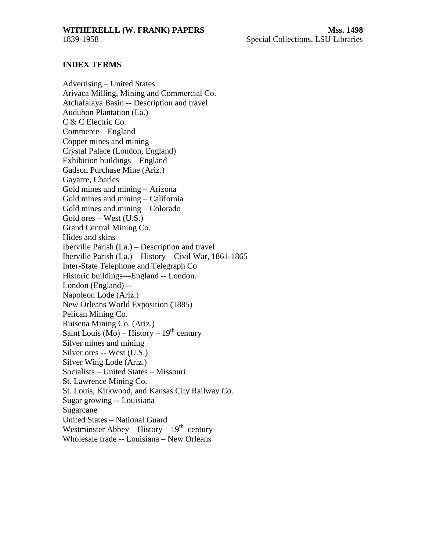<span id="page-6-0"></span>

#### **INDEX TERMS**

Advertising – United States Arivaca Milling, Mining and Commercial Co. Atchafalaya Basin -- Description and travel Audubon Plantation (La.) C & C Electric Co. Commerce – England Copper mines and mining Crystal Palace (London, England) Exhibition buildings – England Gadson Purchase Mine (Ariz.) Gayarre, Charles Gold mines and mining – Arizona Gold mines and mining – California Gold mines and mining – Colorado Gold ores – West (U.S.) Grand Central Mining Co. Hides and skins Iberville Parish (La.) – Description and travel Iberville Parish (La.) – History – Civil War, 1861-1865 Inter-State Telephone and Telegraph Co Historic buildings—England -- London. London (England) -- Napoleon Lode (Ariz.) New Orleans World Exposition (1885) Pelican Mining Co. Ruisena Mining Co. (Ariz.) Saint Louis (Mo) – History –  $19<sup>th</sup>$  century Silver mines and mining Silver ores -- West (U.S.) Silver Wing Lode (Ariz.) Socialists – United States – Missouri St. Lawrence Mining Co. St. Louis, Kirkwood, and Kansas City Railway Co. Sugar growing -- Louisiana Sugarcane United States – National Guard Westminster Abbey – History –  $19<sup>th</sup>$  century Wholesale trade -- Louisiana – New Orleans